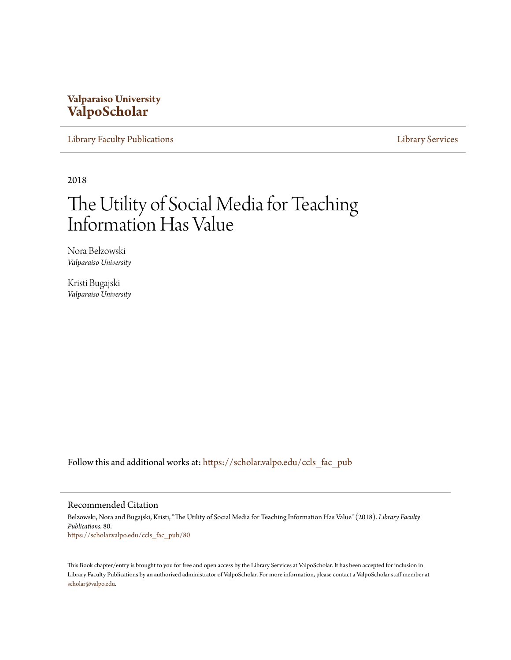#### **Valparaiso University [ValpoScholar](https://scholar.valpo.edu?utm_source=scholar.valpo.edu%2Fccls_fac_pub%2F80&utm_medium=PDF&utm_campaign=PDFCoverPages)**

[Library Faculty Publications](https://scholar.valpo.edu/ccls_fac_pub?utm_source=scholar.valpo.edu%2Fccls_fac_pub%2F80&utm_medium=PDF&utm_campaign=PDFCoverPages) [Library Services](https://scholar.valpo.edu/ccls?utm_source=scholar.valpo.edu%2Fccls_fac_pub%2F80&utm_medium=PDF&utm_campaign=PDFCoverPages)

2018

# The Utility of Social Media for Teaching Information Has Value

Nora Belzowski *Valparaiso University*

Kristi Bugajski *Valparaiso University*

Follow this and additional works at: [https://scholar.valpo.edu/ccls\\_fac\\_pub](https://scholar.valpo.edu/ccls_fac_pub?utm_source=scholar.valpo.edu%2Fccls_fac_pub%2F80&utm_medium=PDF&utm_campaign=PDFCoverPages)

#### Recommended Citation

Belzowski, Nora and Bugajski, Kristi, "The Utility of Social Media for Teaching Information Has Value" (2018). *Library Faculty Publications*. 80. [https://scholar.valpo.edu/ccls\\_fac\\_pub/80](https://scholar.valpo.edu/ccls_fac_pub/80?utm_source=scholar.valpo.edu%2Fccls_fac_pub%2F80&utm_medium=PDF&utm_campaign=PDFCoverPages)

This Book chapter/entry is brought to you for free and open access by the Library Services at ValpoScholar. It has been accepted for inclusion in Library Faculty Publications by an authorized administrator of ValpoScholar. For more information, please contact a ValpoScholar staff member at [scholar@valpo.edu.](mailto:scholar@valpo.edu)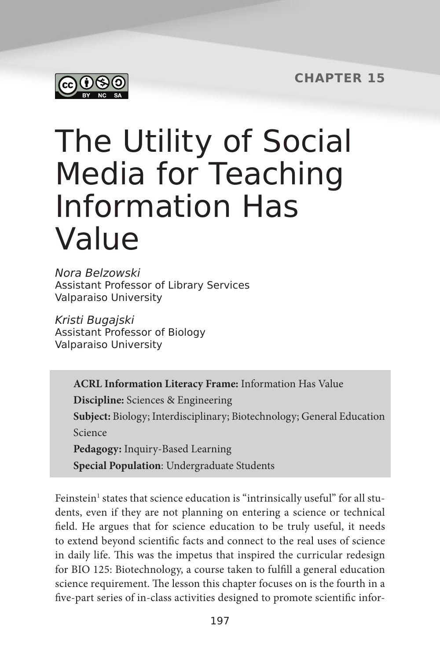**CHAPTER 15**



# The Utility of Social Media for Teaching Information Has Value

Nora Belzowski Assistant Professor of Library Services Valparaiso University

Kristi Bugajski Assistant Professor of Biology Valparaiso University

> **ACRL Information Literacy Frame:** Information Has Value **Discipline:** Sciences & Engineering **Subject:** Biology; Interdisciplinary; Biotechnology; General Education Science **Pedagogy:** Inquiry-Based Learning **Special Population**: Undergraduate Students

Feinstein<sup>1</sup> states that science education is "intrinsically useful" for all students, even if they are not planning on entering a science or technical field. He argues that for science education to be truly useful, it needs to extend beyond scientific facts and connect to the real uses of science in daily life. This was the impetus that inspired the curricular redesign for BIO 125: Biotechnology, a course taken to fulfill a general education science requirement. The lesson this chapter focuses on is the fourth in a five-part series of in-class activities designed to promote scientific infor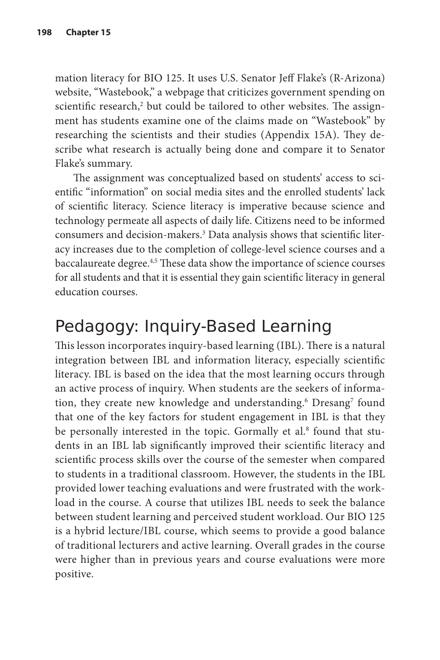mation literacy for BIO 125. It uses U.S. Senator Jeff Flake's (R-Arizona) website, "Wastebook," a webpage that criticizes government spending on scientific research,<sup>2</sup> but could be tailored to other websites. The assignment has students examine one of the claims made on "Wastebook" by researching the scientists and their studies (Appendix 15A). They describe what research is actually being done and compare it to Senator Flake's summary.

The assignment was conceptualized based on students' access to scientific "information" on social media sites and the enrolled students' lack of scientific literacy. Science literacy is imperative because science and technology permeate all aspects of daily life. Citizens need to be informed consumers and decision-makers.3 Data analysis shows that scientific literacy increases due to the completion of college-level science courses and a baccalaureate degree.<sup>4,5</sup> These data show the importance of science courses for all students and that it is essential they gain scientific literacy in general education courses.

# Pedagogy: Inquiry-Based Learning

This lesson incorporates inquiry-based learning (IBL). There is a natural integration between IBL and information literacy, especially scientific literacy. IBL is based on the idea that the most learning occurs through an active process of inquiry. When students are the seekers of information, they create new knowledge and understanding.<sup>6</sup> Dresang<sup>7</sup> found that one of the key factors for student engagement in IBL is that they be personally interested in the topic. Gormally et al.8 found that students in an IBL lab significantly improved their scientific literacy and scientific process skills over the course of the semester when compared to students in a traditional classroom. However, the students in the IBL provided lower teaching evaluations and were frustrated with the workload in the course. A course that utilizes IBL needs to seek the balance between student learning and perceived student workload. Our BIO 125 is a hybrid lecture/IBL course, which seems to provide a good balance of traditional lecturers and active learning. Overall grades in the course were higher than in previous years and course evaluations were more positive.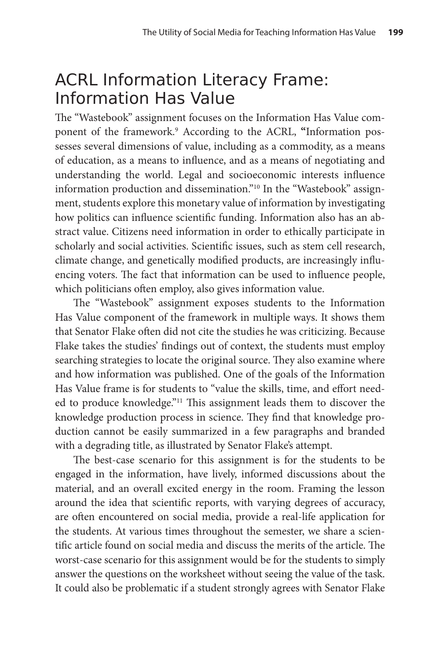# ACRL Information Literacy Frame: Information Has Value

The "Wastebook" assignment focuses on the Information Has Value component of the framework.<sup>9</sup> According to the ACRL, "Information possesses several dimensions of value, including as a commodity, as a means of education, as a means to influence, and as a means of negotiating and understanding the world. Legal and socioeconomic interests influence information production and dissemination."10 In the "Wastebook" assignment, students explore this monetary value of information by investigating how politics can influence scientific funding. Information also has an abstract value. Citizens need information in order to ethically participate in scholarly and social activities. Scientific issues, such as stem cell research, climate change, and genetically modified products, are increasingly influencing voters. The fact that information can be used to influence people, which politicians often employ, also gives information value.

The "Wastebook" assignment exposes students to the Information Has Value component of the framework in multiple ways. It shows them that Senator Flake often did not cite the studies he was criticizing. Because Flake takes the studies' findings out of context, the students must employ searching strategies to locate the original source. They also examine where and how information was published. One of the goals of the Information Has Value frame is for students to "value the skills, time, and effort needed to produce knowledge."11 This assignment leads them to discover the knowledge production process in science. They find that knowledge production cannot be easily summarized in a few paragraphs and branded with a degrading title, as illustrated by Senator Flake's attempt.

The best-case scenario for this assignment is for the students to be engaged in the information, have lively, informed discussions about the material, and an overall excited energy in the room. Framing the lesson around the idea that scientific reports, with varying degrees of accuracy, are often encountered on social media, provide a real-life application for the students. At various times throughout the semester, we share a scientific article found on social media and discuss the merits of the article. The worst-case scenario for this assignment would be for the students to simply answer the questions on the worksheet without seeing the value of the task. It could also be problematic if a student strongly agrees with Senator Flake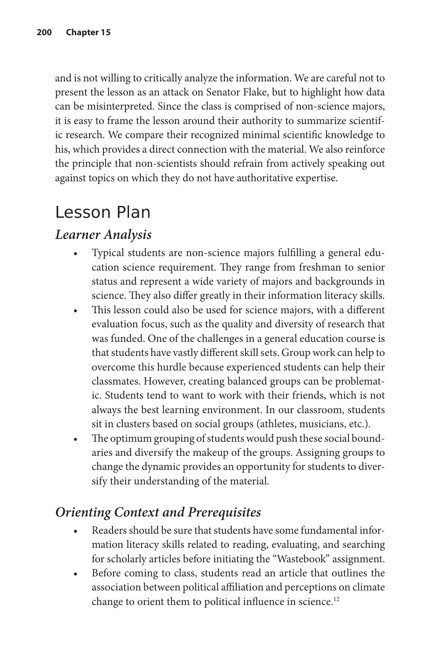and is not willing to critically analyze the information. We are careful not to present the lesson as an attack on Senator Flake, but to highlight how data can be misinterpreted. Since the class is comprised of non-science majors, it is easy to frame the lesson around their authority to summarize scientific research. We compare their recognized minimal scientific knowledge to his, which provides a direct connection with the material. We also reinforce the principle that non-scientists should refrain from actively speaking out against topics on which they do not have authoritative expertise.

# Lesson Plan

#### *Learner Analysis*

- Typical students are non-science majors fulfilling a general education science requirement. They range from freshman to senior status and represent a wide variety of majors and backgrounds in science. They also differ greatly in their information literacy skills.
- This lesson could also be used for science majors, with a different evaluation focus, such as the quality and diversity of research that was funded. One of the challenges in a general education course is that students have vastly different skill sets. Group work can help to overcome this hurdle because experienced students can help their classmates. However, creating balanced groups can be problematic. Students tend to want to work with their friends, which is not always the best learning environment. In our classroom, students sit in clusters based on social groups (athletes, musicians, etc.).
- The optimum grouping of students would push these social boundaries and diversify the makeup of the groups. Assigning groups to change the dynamic provides an opportunity for students to diversify their understanding of the material.

#### *Orienting Context and Prerequisites*

- Readers should be sure that students have some fundamental information literacy skills related to reading, evaluating, and searching for scholarly articles before initiating the "Wastebook" assignment.
- Before coming to class, students read an article that outlines the association between political affiliation and perceptions on climate change to orient them to political influence in science.<sup>12</sup>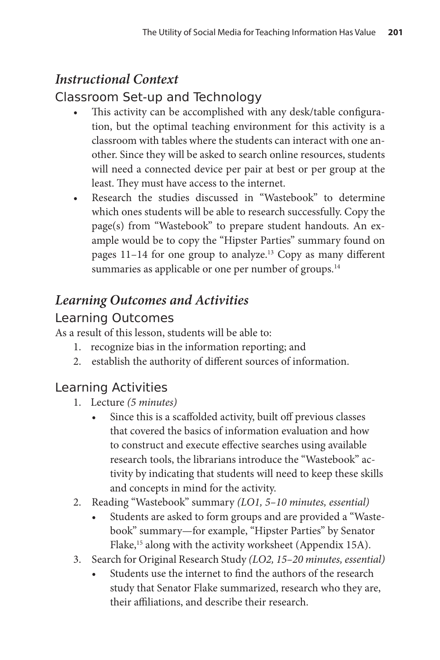#### *Instructional Context*

#### Classroom Set-up and Technology

- This activity can be accomplished with any desk/table configuration, but the optimal teaching environment for this activity is a classroom with tables where the students can interact with one another. Since they will be asked to search online resources, students will need a connected device per pair at best or per group at the least. They must have access to the internet.
- Research the studies discussed in "Wastebook" to determine which ones students will be able to research successfully. Copy the page(s) from "Wastebook" to prepare student handouts. An example would be to copy the "Hipster Parties" summary found on pages 11-14 for one group to analyze.<sup>13</sup> Copy as many different summaries as applicable or one per number of groups.<sup>14</sup>

### *Learning Outcomes and Activities*

#### Learning Outcomes

As a result of this lesson, students will be able to:

- 1. recognize bias in the information reporting; and
- 2. establish the authority of different sources of information.

#### Learning Activities

- 1. Lecture *(5 minutes)*
	- Since this is a scaffolded activity, built off previous classes that covered the basics of information evaluation and how to construct and execute effective searches using available research tools, the librarians introduce the "Wastebook" activity by indicating that students will need to keep these skills and concepts in mind for the activity.
- 2. Reading "Wastebook" summary *(LO1, 5–10 minutes, essential)*
	- Students are asked to form groups and are provided a "Wastebook" summary—for example, "Hipster Parties" by Senator Flake,<sup>15</sup> along with the activity worksheet (Appendix 15A).
- 3. Search for Original Research Study *(LO2, 15–20 minutes, essential)*
	- Students use the internet to find the authors of the research study that Senator Flake summarized, research who they are, their affiliations, and describe their research.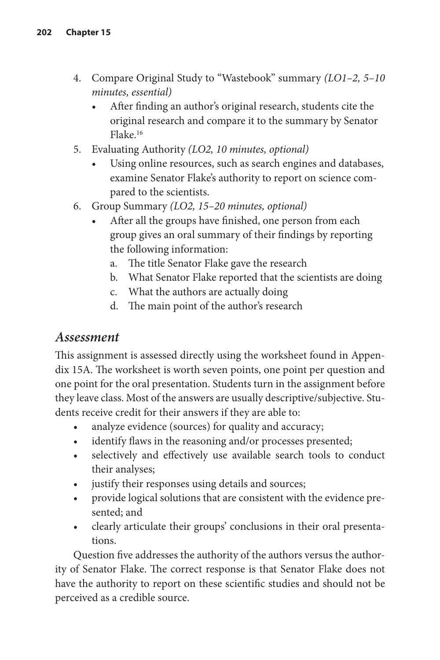- 4. Compare Original Study to "Wastebook" summary *(LO1–2, 5–10 minutes, essential)*
	- After finding an author's original research, students cite the original research and compare it to the summary by Senator Flake.16
- 5. Evaluating Authority *(LO2, 10 minutes, optional)*
	- Using online resources, such as search engines and databases, examine Senator Flake's authority to report on science compared to the scientists.
- 6. Group Summary *(LO2, 15–20 minutes, optional)*
	- After all the groups have finished, one person from each group gives an oral summary of their findings by reporting the following information:
		- a. The title Senator Flake gave the research
		- b. What Senator Flake reported that the scientists are doing
		- c. What the authors are actually doing
		- d. The main point of the author's research

#### *Assessment*

This assignment is assessed directly using the worksheet found in Appendix 15A. The worksheet is worth seven points, one point per question and one point for the oral presentation. Students turn in the assignment before they leave class. Most of the answers are usually descriptive/subjective. Students receive credit for their answers if they are able to:

- analyze evidence (sources) for quality and accuracy;
- identify flaws in the reasoning and/or processes presented;
- selectively and effectively use available search tools to conduct their analyses;
- justify their responses using details and sources;
- provide logical solutions that are consistent with the evidence presented; and
- clearly articulate their groups' conclusions in their oral presentations.

Question five addresses the authority of the authors versus the authority of Senator Flake. The correct response is that Senator Flake does not have the authority to report on these scientific studies and should not be perceived as a credible source.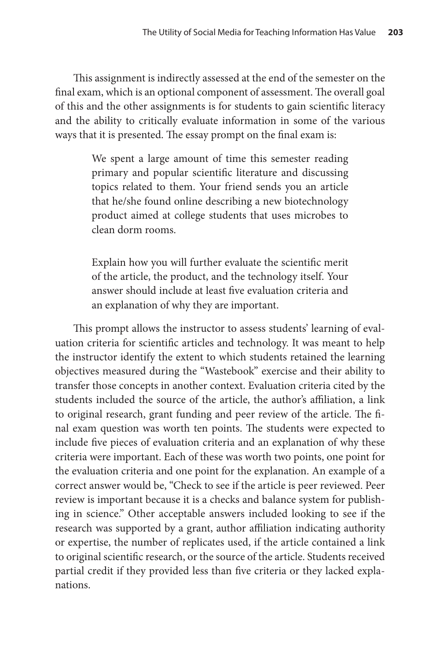This assignment is indirectly assessed at the end of the semester on the final exam, which is an optional component of assessment. The overall goal of this and the other assignments is for students to gain scientific literacy and the ability to critically evaluate information in some of the various ways that it is presented. The essay prompt on the final exam is:

> We spent a large amount of time this semester reading primary and popular scientific literature and discussing topics related to them. Your friend sends you an article that he/she found online describing a new biotechnology product aimed at college students that uses microbes to clean dorm rooms.

> Explain how you will further evaluate the scientific merit of the article, the product, and the technology itself. Your answer should include at least five evaluation criteria and an explanation of why they are important.

This prompt allows the instructor to assess students' learning of evaluation criteria for scientific articles and technology. It was meant to help the instructor identify the extent to which students retained the learning objectives measured during the "Wastebook" exercise and their ability to transfer those concepts in another context. Evaluation criteria cited by the students included the source of the article, the author's affiliation, a link to original research, grant funding and peer review of the article. The final exam question was worth ten points. The students were expected to include five pieces of evaluation criteria and an explanation of why these criteria were important. Each of these was worth two points, one point for the evaluation criteria and one point for the explanation. An example of a correct answer would be, "Check to see if the article is peer reviewed. Peer review is important because it is a checks and balance system for publishing in science." Other acceptable answers included looking to see if the research was supported by a grant, author affiliation indicating authority or expertise, the number of replicates used, if the article contained a link to original scientific research, or the source of the article. Students received partial credit if they provided less than five criteria or they lacked explanations.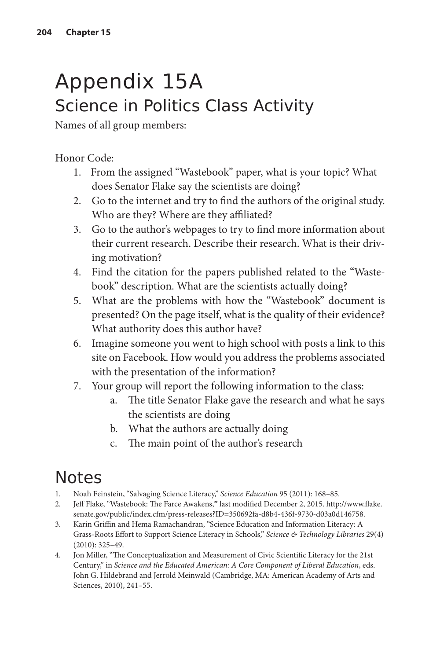# Appendix 15A Science in Politics Class Activity

Names of all group members:

Honor Code:

- 1. From the assigned "Wastebook" paper, what is your topic? What does Senator Flake say the scientists are doing?
- 2. Go to the internet and try to find the authors of the original study. Who are they? Where are they affiliated?
- 3. Go to the author's webpages to try to find more information about their current research. Describe their research. What is their driving motivation?
- 4. Find the citation for the papers published related to the "Wastebook" description. What are the scientists actually doing?
- 5. What are the problems with how the "Wastebook" document is presented? On the page itself, what is the quality of their evidence? What authority does this author have?
- 6. Imagine someone you went to high school with posts a link to this site on Facebook. How would you address the problems associated with the presentation of the information?
- 7. Your group will report the following information to the class:
	- a. The title Senator Flake gave the research and what he says the scientists are doing
	- b. What the authors are actually doing
	- c. The main point of the author's research

# Notes

- 1. Noah Feinstein, "Salvaging Science Literacy," *Science Education* 95 (2011): 168–85.
- 2. Jeff Flake, "Wastebook: The Farce Awakens,**"** last modified December 2, 2015. [http://www.flake.](http://www.flake.senate.gov/public/index.cfm/press-releases?ID=350692fa-d8b4-436f-9730-d03a0d146758) [senate.gov/public/index.cfm/press-releases?ID=350692fa-d8b4-436f-9730-d03a0d146758.](http://www.flake.senate.gov/public/index.cfm/press-releases?ID=350692fa-d8b4-436f-9730-d03a0d146758)
- 3. Karin Griffin and Hema Ramachandran, "Science Education and Information Literacy: A Grass-Roots Effort to Support Science Literacy in Schools," *Science & Technology Libraries* 29(4) (2010): 325–49.
- 4. Jon Miller, "The Conceptualization and Measurement of Civic Scientific Literacy for the 21st Century," in *Science and the Educated American: A Core Component of Liberal Education*, eds. John G. Hildebrand and Jerrold Meinwald (Cambridge, MA: American Academy of Arts and Sciences, 2010), 241–55.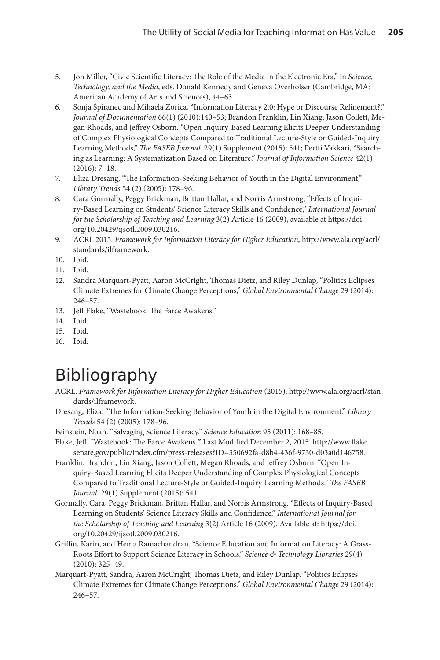- 5. Jon Miller, "Civic Scientific Literacy: The Role of the Media in the Electronic Era," in *Science, Technology, and the Media*, eds. Donald Kennedy and Geneva Overholser (Cambridge, MA: American Academy of Arts and Sciences), 44–63.
- 6. Sonja Špiranec and Mihaela Zorica, "Information Literacy 2.0: Hype or Discourse Refinement?," *Journal of Documentation* 66(1) (2010):140–53; Brandon Franklin, Lin Xiang, Jason Collett, Megan Rhoads, and Jeffrey Osborn. "Open Inquiry-Based Learning Elicits Deeper Understanding of Complex Physiological Concepts Compared to Traditional Lecture-Style or Guided-Inquiry Learning Methods," *The FASEB Journal.* 29(1) Supplement (2015): 541; Pertti Vakkari, "Searching as Learning: A Systematization Based on Literature," *Journal of Information Science* 42(1) (2016): 7–18.
- 7. Eliza Dresang, "The Information-Seeking Behavior of Youth in the Digital Environment," *Library Trends* 54 (2) (2005): 178–96.
- 8. Cara Gormally, Peggy Brickman, Brittan Hallar, and Norris Armstrong, "Effects of Inquiry-Based Learning on Students' Science Literacy Skills and Confidence," *International Journal for the Scholarship of Teaching and Learning* 3(2) Article 16 (2009), available at [https://doi.](https://doi.org/10.20429/ijsotl.2009.030216
) [org/10.20429/ijsotl.2009.030216](https://doi.org/10.20429/ijsotl.2009.030216
).
- 9. ACRL 2015. *Framework for Information Literacy for Higher Education*, [http://www.ala.org/acrl/](http://www.ala.org/acrl/standards/ilframework) [standards/ilframework.](http://www.ala.org/acrl/standards/ilframework)
- 10. Ibid.
- 11. Ibid.
- 12. Sandra Marquart-Pyatt, Aaron McCright, Thomas Dietz, and Riley Dunlap, "Politics Eclipses Climate Extremes for Climate Change Perceptions," *Global Environmental Change* 29 (2014): 246–57.
- 13. Jeff Flake, "Wastebook: The Farce Awakens."
- 14. Ibid.
- 15. Ibid.
- 16. Ibid.

# Bibliography

- ACRL. *Framework for Information Literacy for Higher Education* (2015). [http://www.ala.org/acrl/stan](http://www.ala.org/acrl/standards/ilframework)[dards/ilframework.](http://www.ala.org/acrl/standards/ilframework)
- Dresang, Eliza. "The Information-Seeking Behavior of Youth in the Digital Environment." *Library Trends* 54 (2) (2005): 178–96.
- Feinstein, Noah. "Salvaging Science Literacy." *Science Education* 95 (2011): 168–85.
- Flake, Jeff. "Wastebook: The Farce Awakens.**"** Last Modified December 2, 2015. [http://www.flake.](http://www.flake.senate.gov/public/index.cfm/press-releases?ID=350692fa-d8b4-436f-9730-d03a0d146758) [senate.gov/public/index.cfm/press-releases?ID=350692fa-d8b4-436f-9730-d03a0d146758.](http://www.flake.senate.gov/public/index.cfm/press-releases?ID=350692fa-d8b4-436f-9730-d03a0d146758)
- Franklin, Brandon, Lin Xiang, Jason Collett, Megan Rhoads, and Jeffrey Osborn. "Open Inquiry-Based Learning Elicits Deeper Understanding of Complex Physiological Concepts Compared to Traditional Lecture-Style or Guided-Inquiry Learning Methods." *The FASEB Journal.* 29(1) Supplement (2015): 541.
- Gormally, Cara, Peggy Brickman, Brittan Hallar, and Norris Armstrong. "Effects of Inquiry-Based Learning on Students' Science Literacy Skills and Confidence." *International Journal for the Scholarship of Teaching and Learning* 3(2) Article 16 (2009). Available at: [https://doi.](https://doi.org/10.20429/ijsotl.2009.030216
) [org/10.20429/ijsotl.2009.030216](https://doi.org/10.20429/ijsotl.2009.030216
).
- Griffin, Karin, and Hema Ramachandran. "Science Education and Information Literacy: A Grass-Roots Effort to Support Science Literacy in Schools." *Science & Technology Libraries* 29(4) (2010): 325–49.
- Marquart-Pyatt, Sandra, Aaron McCright, Thomas Dietz, and Riley Dunlap. "Politics Eclipses Climate Extremes for Climate Change Perceptions." *Global Environmental Change* 29 (2014): 246–57.